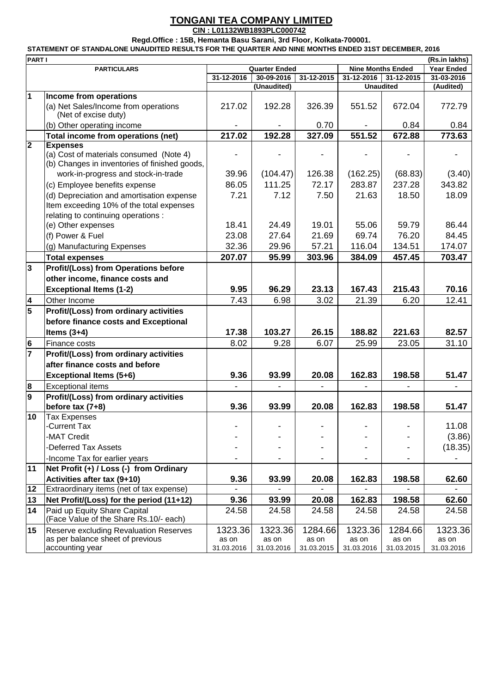## **TONGANI TEA COMPANY LIMITED**

**CIN : L01132WB1893PLC000742**

**Regd.Office : 15B, Hemanta Basu Sarani, 3rd Floor, Kolkata-700001.**

**STATEMENT OF STANDALONE UNAUDITED RESULTS FOR THE QUARTER AND NINE MONTHS ENDED 31ST DECEMBER, 2016**

|                         | <b>PART I</b><br>(Rs.in lakhs)                                         |                      |             |            |                          |                  |                   |  |  |  |
|-------------------------|------------------------------------------------------------------------|----------------------|-------------|------------|--------------------------|------------------|-------------------|--|--|--|
|                         | <b>PARTICULARS</b>                                                     | <b>Quarter Ended</b> |             |            | <b>Nine Months Ended</b> |                  | <b>Year Ended</b> |  |  |  |
|                         |                                                                        | 31-12-2016           | 30-09-2016  | 31-12-2015 | 31-12-2016               | 31-12-2015       | 31-03-2016        |  |  |  |
|                         |                                                                        |                      | (Unaudited) |            |                          | <b>Unaudited</b> | (Audited)         |  |  |  |
| $\mathbf 1$             | Income from operations                                                 |                      |             |            |                          |                  |                   |  |  |  |
|                         | (a) Net Sales/Income from operations<br>(Net of excise duty)           | 217.02               | 192.28      | 326.39     | 551.52                   | 672.04           | 772.79            |  |  |  |
|                         | (b) Other operating income                                             |                      |             | 0.70       |                          | 0.84             | 0.84              |  |  |  |
|                         | Total income from operations (net)                                     | 217.02               | 192.28      | 327.09     | 551.52                   | 672.88           | 773.63            |  |  |  |
| $\overline{\mathbf{2}}$ | <b>Expenses</b>                                                        |                      |             |            |                          |                  |                   |  |  |  |
|                         | (a) Cost of materials consumed (Note 4)                                |                      |             |            |                          |                  |                   |  |  |  |
|                         | (b) Changes in inventories of finished goods,                          |                      |             |            |                          |                  |                   |  |  |  |
|                         | work-in-progress and stock-in-trade                                    | 39.96                | (104.47)    | 126.38     | (162.25)                 | (68.83)          | (3.40)            |  |  |  |
|                         | (c) Employee benefits expense                                          | 86.05                | 111.25      | 72.17      | 283.87                   | 237.28           | 343.82            |  |  |  |
|                         | (d) Depreciation and amortisation expense                              | 7.21                 | 7.12        | 7.50       | 21.63                    | 18.50            | 18.09             |  |  |  |
|                         | Item exceeding 10% of the total expenses                               |                      |             |            |                          |                  |                   |  |  |  |
|                         | relating to continuing operations :                                    |                      |             |            |                          |                  |                   |  |  |  |
|                         | (e) Other expenses                                                     | 18.41                | 24.49       | 19.01      | 55.06                    | 59.79            | 86.44             |  |  |  |
|                         | (f) Power & Fuel                                                       | 23.08                | 27.64       | 21.69      | 69.74                    | 76.20            | 84.45             |  |  |  |
|                         | (g) Manufacturing Expenses                                             | 32.36                | 29.96       | 57.21      | 116.04                   | 134.51           | 174.07            |  |  |  |
|                         | <b>Total expenses</b>                                                  | 207.07               | 95.99       | 303.96     | 384.09                   | 457.45           | 703.47            |  |  |  |
| $\overline{3}$          | <b>Profit/(Loss) from Operations before</b>                            |                      |             |            |                          |                  |                   |  |  |  |
|                         | other income, finance costs and                                        |                      |             |            |                          |                  |                   |  |  |  |
|                         |                                                                        |                      |             |            |                          |                  |                   |  |  |  |
|                         | <b>Exceptional Items (1-2)</b>                                         | 9.95                 | 96.29       | 23.13      | 167.43                   | 215.43           | 70.16             |  |  |  |
| $\overline{\mathbf{4}}$ | Other Income                                                           | 7.43                 | 6.98        | 3.02       | 21.39                    | 6.20             | 12.41             |  |  |  |
| $\overline{\mathbf{5}}$ | Profit/(Loss) from ordinary activities                                 |                      |             |            |                          |                  |                   |  |  |  |
|                         | before finance costs and Exceptional                                   |                      |             |            |                          |                  |                   |  |  |  |
|                         | Items $(3+4)$                                                          | 17.38                | 103.27      | 26.15      | 188.82                   | 221.63           | 82.57             |  |  |  |
| 6                       | Finance costs                                                          | 8.02                 | 9.28        | 6.07       | 25.99                    | 23.05            | 31.10             |  |  |  |
| $\overline{7}$          | Profit/(Loss) from ordinary activities                                 |                      |             |            |                          |                  |                   |  |  |  |
|                         | after finance costs and before                                         |                      |             |            |                          |                  |                   |  |  |  |
|                         | <b>Exceptional Items (5+6)</b>                                         | 9.36                 | 93.99       | 20.08      | 162.83                   | 198.58           | 51.47             |  |  |  |
| 8                       | <b>Exceptional items</b>                                               |                      |             |            |                          |                  |                   |  |  |  |
| 9                       | Profit/(Loss) from ordinary activities                                 |                      |             |            |                          |                  |                   |  |  |  |
|                         | before tax $(7+8)$                                                     | 9.36                 | 93.99       | 20.08      | 162.83                   | 198.58           | 51.47             |  |  |  |
| 10                      | <b>Tax Expenses</b>                                                    |                      |             |            |                          |                  |                   |  |  |  |
|                         | -Current Tax                                                           |                      |             |            |                          |                  | 11.08             |  |  |  |
|                         | -MAT Credit                                                            |                      |             |            |                          |                  | (3.86)            |  |  |  |
|                         | -Deferred Tax Assets                                                   |                      |             |            |                          |                  | (18.35)           |  |  |  |
|                         | -Income Tax for earlier years                                          |                      |             |            |                          |                  |                   |  |  |  |
| 11                      | Net Profit (+) / Loss (-) from Ordinary                                |                      |             |            |                          |                  |                   |  |  |  |
|                         | Activities after tax (9+10)                                            | 9.36                 | 93.99       | 20.08      | 162.83                   | 198.58           | 62.60             |  |  |  |
| 12                      | Extraordinary items (net of tax expense)                               |                      |             |            |                          |                  |                   |  |  |  |
| 13                      | Net Profit/(Loss) for the period (11+12)                               | 9.36                 | 93.99       | 20.08      | 162.83                   | 198.58           | 62.60             |  |  |  |
|                         |                                                                        |                      |             |            |                          |                  |                   |  |  |  |
| 14                      | Paid up Equity Share Capital<br>(Face Value of the Share Rs.10/- each) | 24.58                | 24.58       | 24.58      | 24.58                    | 24.58            | 24.58             |  |  |  |
| 15                      | Reserve excluding Revaluation Reserves                                 | 1323.36              | 1323.36     | 1284.66    | 1323.36                  | 1284.66          | 1323.36           |  |  |  |
|                         | as per balance sheet of previous                                       | as on                | as on       | as on      | as on                    | as on            | as on             |  |  |  |
|                         | accounting year                                                        | 31.03.2016           | 31.03.2016  | 31.03.2015 | 31.03.2016               | 31.03.2015       | 31.03.2016        |  |  |  |